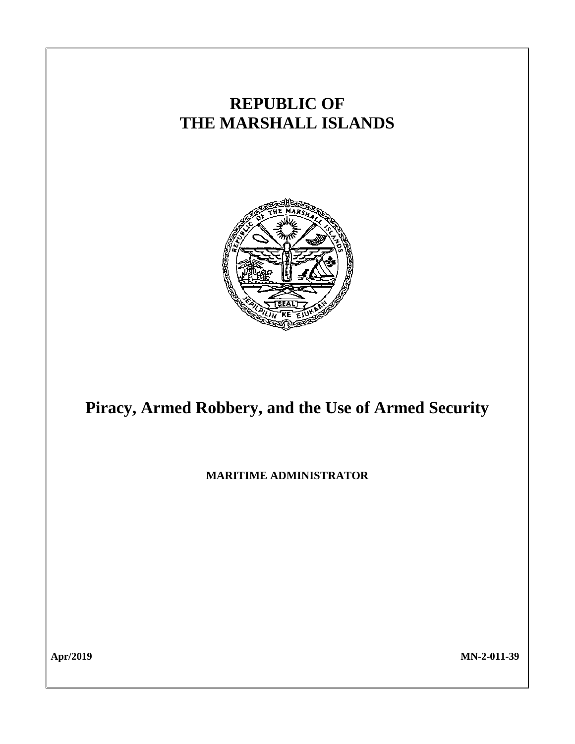

**Apr/2019 MN-2-011-39**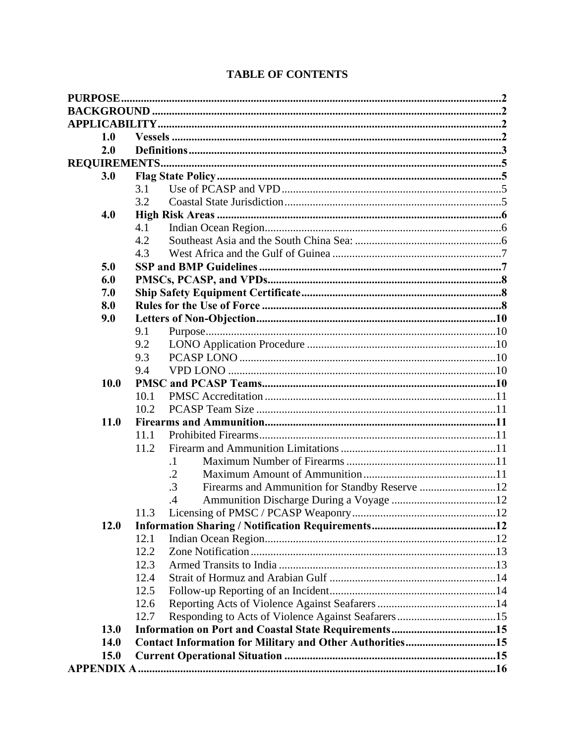| 1.0         |                                                          |  |
|-------------|----------------------------------------------------------|--|
| 2.0         |                                                          |  |
|             |                                                          |  |
| 3.0         |                                                          |  |
|             | 3.1                                                      |  |
|             | 3.2                                                      |  |
| 4.0         |                                                          |  |
|             | 4.1                                                      |  |
|             | 4.2                                                      |  |
|             | 4.3                                                      |  |
| 5.0         |                                                          |  |
| 6.0         |                                                          |  |
| 7.0         |                                                          |  |
| 8.0         |                                                          |  |
| 9.0         |                                                          |  |
|             | 9.1                                                      |  |
|             | 9.2                                                      |  |
|             | 9.3                                                      |  |
|             | 9.4                                                      |  |
| 10.0        |                                                          |  |
|             | 10.1                                                     |  |
|             | 10.2                                                     |  |
| <b>11.0</b> |                                                          |  |
|             | 11.1                                                     |  |
|             | 11.2                                                     |  |
|             | $\cdot$ 1                                                |  |
|             | $\cdot$ .2<br>$\cdot$ 3                                  |  |
|             | Firearms and Ammunition for Standby Reserve 12           |  |
|             | $\cdot$ 4<br>11.3                                        |  |
| <b>12.0</b> |                                                          |  |
|             | 12.1                                                     |  |
|             | 12.2                                                     |  |
|             | 12.3                                                     |  |
|             | 12.4                                                     |  |
|             | 12.5                                                     |  |
|             | 12.6                                                     |  |
|             | 12.7                                                     |  |
| 13.0        |                                                          |  |
| <b>14.0</b> | Contact Information for Military and Other Authorities15 |  |
| 15.0        |                                                          |  |
|             |                                                          |  |
|             |                                                          |  |

# **TABLE OF CONTENTS**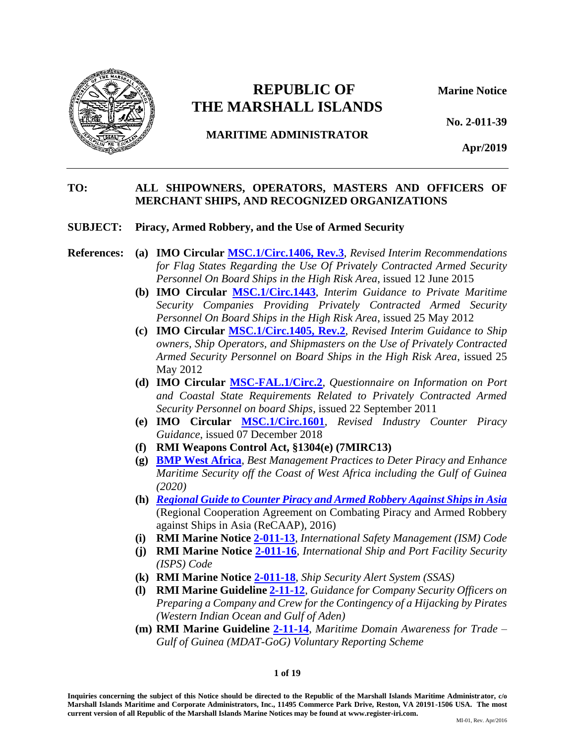

# **REPUBLIC OF Marine Notice THE MARSHALL ISLANDS**

**No. 2-011-39**

# **MARITIME ADMINISTRATOR**

**Apr/2019**

### **TO: ALL SHIPOWNERS, OPERATORS, MASTERS AND OFFICERS OF MERCHANT SHIPS, AND RECOGNIZED ORGANIZATIONS**

#### **SUBJECT: Piracy, Armed Robbery, and the Use of Armed Security**

### **References: (a) IMO Circular [MSC.1/Circ.1406,](http://www.register-iri.com/forms/upload/MSC.1-Circ.1406-Rev.3.pdf) Rev.3**, *Revised Interim Recommendations for Flag States Regarding the Use Of Privately Contracted Armed Security Personnel On Board Ships in the High Risk Area*, issued 12 June 2015

- **(b) IMO Circular [MSC.1/Circ.1443](http://www.register-iri.com/forms/upload/MSC.1-Circ.1443.pdf)**, *Interim Guidance to Private Maritime Security Companies Providing Privately Contracted Armed Security Personnel On Board Ships in the High Risk Area*, issued 25 May 2012
- **(c) IMO Circular [MSC.1/Circ.1405,](http://www.register-iri.com/forms/upload/MSC.1-Circ.1405-Rev.2.pdf) Rev.2**, *Revised Interim Guidance to Ship owners, Ship Operators, and Shipmasters on the Use of Privately Contracted Armed Security Personnel on Board Ships in the High Risk Area*, issued 25 May 2012
- **(d) IMO Circular [MSC-FAL.1/Circ.2](http://www.register-iri.com/forms/upload/MSC-FAL.1-Circ.2.pdf)**, *Questionnaire on Information on Port and Coastal State Requirements Related to Privately Contracted Armed Security Personnel on board Ships*, issued 22 September 2011
- **(e) IMO Circular [MSC.1/Circ.1601](https://www.register-iri.com/wp-content/uploads/MSC.1-Circ.1601.pdf)***, Revised Industry Counter Piracy Guidance*, issued 07 December 2018
- **(f) RMI Weapons Control Act, §1304(e) (7MIRC13)**
- **(g) [BMP West Africa](http://www.register-iri.com/forms/upload/GoG-Updated_Guidelines.pdf)**, *Best Management Practices to Deter Piracy and Enhance Maritime Security off the Coast of West Africa including the Gulf of Guinea (2020)*
- **(h)** *[Regional Guide to Counter Piracy and Armed Robbery Against Ships in Asia](http://www.recaap.org/resources/ck/files/guide/Regional%20Guide%20to%20Counter%20Piracy%20and%20Armed%20Robbery%20Against%20Ships%20in%20Asia%20(high-res).pdf)* (Regional Cooperation Agreement on Combating Piracy and Armed Robbery against Ships in Asia (ReCAAP), 2016)
- **(i) RMI Marine Notice [2-011-13](http://www.register-iri.com/forms/upload/MN-2-011-13.pdf)**, *International Safety Management (ISM) Code*
- **(j) RMI Marine Notice [2-011-16](http://www.register-iri.com/forms/upload/MN-2-011-16.pdf)**, *International Ship and Port Facility Security (ISPS) Code*
- **(k) RMI Marine Notice [2-011-18](http://www.register-iri.com/forms/upload/MN-2-011-18.pdf)**, *Ship Security Alert System (SSAS)*
- **(l) RMI Marine Guideline [2-11-12](http://www.register-iri.com/forms/upload/MG-2-11-12.pdf)**, *Guidance for Company Security Officers on Preparing a Company and Crew for the Contingency of a Hijacking by Pirates (Western Indian Ocean and Gulf of Aden)*
- **(m) RMI Marine Guideline [2-11-14](http://www.register-iri.com/forms/upload/MG-2-11-14.pdf)**, *Maritime Domain Awareness for Trade – Gulf of Guinea (MDAT-GoG) Voluntary Reporting Scheme*

#### **1 of 19**

**Inquiries concerning the subject of this Notice should be directed to the Republic of the Marshall Islands Maritime Administrator, c/o Marshall Islands Maritime and Corporate Administrators, Inc., 11495 Commerce Park Drive, Reston, VA 20191-1506 USA. The most current version of all Republic of the Marshall Islands Marine Notices may be found at www.register-iri.com.**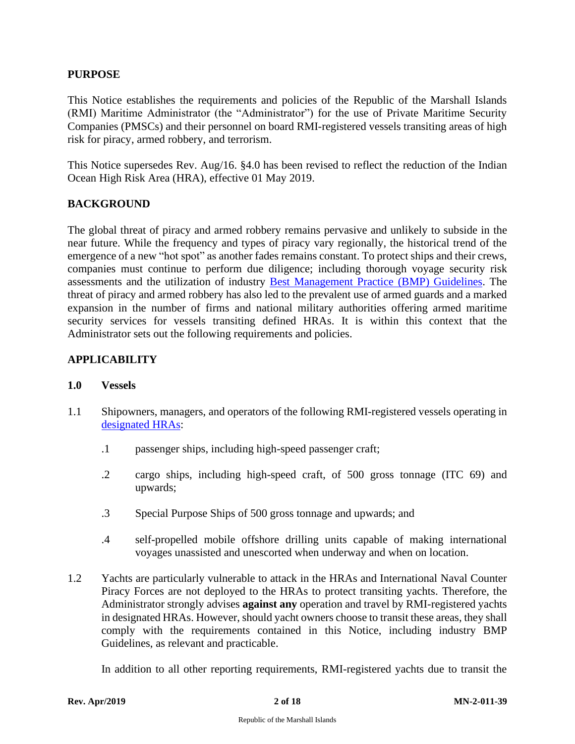### <span id="page-3-0"></span>**PURPOSE**

This Notice establishes the requirements and policies of the Republic of the Marshall Islands (RMI) Maritime Administrator (the "Administrator") for the use of Private Maritime Security Companies (PMSCs) and their personnel on board RMI-registered vessels transiting areas of high risk for piracy, armed robbery, and terrorism.

This Notice supersedes Rev. Aug/16. §4.0 has been revised to reflect the reduction of the Indian Ocean High Risk Area (HRA), effective 01 May 2019.

# <span id="page-3-1"></span>**BACKGROUND**

The global threat of piracy and armed robbery remains pervasive and unlikely to subside in the near future. While the frequency and types of piracy vary regionally, the historical trend of the emergence of a new "hot spot" as another fades remains constant. To protect ships and their crews, companies must continue to perform due diligence; including thorough voyage security risk assessments and the utilization of industry [Best Management Practice](https://www.maritimeglobalsecurity.org/risksissues/piracy) (BMP) Guidelines. The threat of piracy and armed robbery has also led to the prevalent use of armed guards and a marked expansion in the number of firms and national military authorities offering armed maritime security services for vessels transiting defined HRAs. It is within this context that the Administrator sets out the following requirements and policies.

# <span id="page-3-2"></span>**APPLICABILITY**

#### <span id="page-3-3"></span>**1.0 Vessels**

- 1.1 Shipowners, managers, and operators of the following RMI-registered vessels operating in [designated HRAs:](#page-7-0)
	- .1 passenger ships, including high-speed passenger craft;
	- .2 cargo ships, including high-speed craft, of 500 gross tonnage (ITC 69) and upwards;
	- .3 Special Purpose Ships of 500 gross tonnage and upwards; and
	- .4 self-propelled mobile offshore drilling units capable of making international voyages unassisted and unescorted when underway and when on location.
- 1.2 Yachts are particularly vulnerable to attack in the HRAs and International Naval Counter Piracy Forces are not deployed to the HRAs to protect transiting yachts. Therefore, the Administrator strongly advises **against any** operation and travel by RMI-registered yachts in designated HRAs. However, should yacht owners choose to transit these areas, they shall comply with the requirements contained in this Notice, including industry BMP Guidelines, as relevant and practicable.

In addition to all other reporting requirements, RMI-registered yachts due to transit the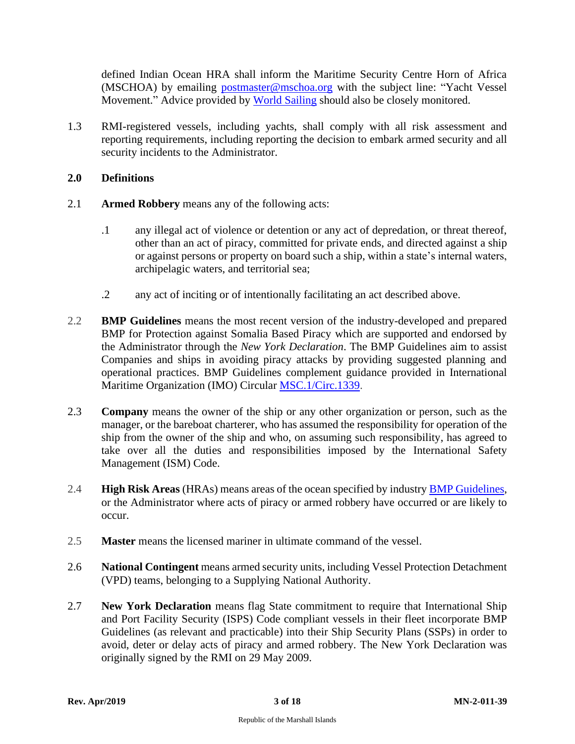defined Indian Ocean HRA shall inform the Maritime Security Centre Horn of Africa (MSCHOA) by emailing [postmaster@mschoa.org](mailto:postmaster@mschoa.org) with the subject line: "Yacht Vessel Movement." Advice provided by [World Sailing](http://www.sailing.org/piracy) should also be closely monitored.

1.3 RMI-registered vessels, including yachts, shall comply with all risk assessment and reporting requirements, including reporting the decision to embark armed security and all security incidents to the Administrator.

### <span id="page-4-0"></span>**2.0 Definitions**

- 2.1 **Armed Robbery** means any of the following acts:
	- .1 any illegal act of violence or detention or any act of depredation, or threat thereof, other than an act of piracy, committed for private ends, and directed against a ship or against persons or property on board such a ship, within a state's internal waters, archipelagic waters, and territorial sea;
	- .2 any act of inciting or of intentionally facilitating an act described above.
- 2.2 **BMP Guidelines** means the most recent version of the industry-developed and prepared BMP for Protection against Somalia Based Piracy which are supported and endorsed by the Administrator through the *New York Declaration*. The BMP Guidelines aim to assist Companies and ships in avoiding piracy attacks by providing suggested planning and operational practices. BMP Guidelines complement guidance provided in International Maritime Organization (IMO) Circular [MSC.1/Circ.1339.](http://www.register-iri.com/forms/upload/MSC.1-Circ.1339.pdf)
- 2.3 **Company** means the owner of the ship or any other organization or person, such as the manager, or the bareboat charterer, who has assumed the responsibility for operation of the ship from the owner of the ship and who, on assuming such responsibility, has agreed to take over all the duties and responsibilities imposed by the International Safety Management (ISM) Code.
- 2.4 **High Risk Areas** (HRAs) means areas of the ocean specified by industry BMP [Guidelines,](https://www.maritimeglobalsecurity.org/risksissues/piracy/) or the Administrator where acts of piracy or armed robbery have occurred or are likely to occur.
- 2.5 **Master** means the licensed mariner in ultimate command of the vessel.
- 2.6 **National Contingent** means armed security units, including Vessel Protection Detachment (VPD) teams, belonging to a Supplying National Authority.
- 2.7 **New York Declaration** means flag State commitment to require that International Ship and Port Facility Security (ISPS) Code compliant vessels in their fleet incorporate BMP Guidelines (as relevant and practicable) into their Ship Security Plans (SSPs) in order to avoid, deter or delay acts of piracy and armed robbery. The New York Declaration was originally signed by the RMI on 29 May 2009.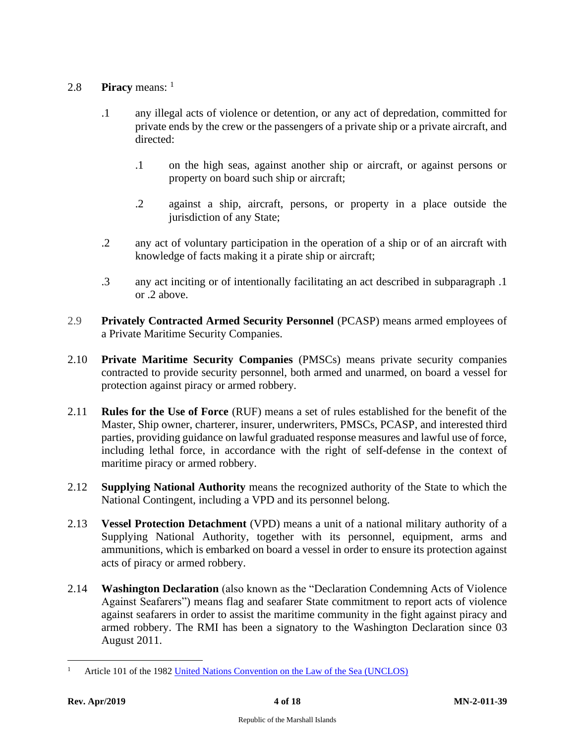# 2.8 **Piracy** means: <sup>1</sup>

- .1 any illegal acts of violence or detention, or any act of depredation, committed for private ends by the crew or the passengers of a private ship or a private aircraft, and directed:
	- .1 on the high seas, against another ship or aircraft, or against persons or property on board such ship or aircraft;
	- .2 against a ship, aircraft, persons, or property in a place outside the jurisdiction of any State;
- .2 any act of voluntary participation in the operation of a ship or of an aircraft with knowledge of facts making it a pirate ship or aircraft;
- .3 any act inciting or of intentionally facilitating an act described in subparagraph .1 or .2 above.
- 2.9 **Privately Contracted Armed Security Personnel** (PCASP) means armed employees of a Private Maritime Security Companies.
- 2.10 **Private Maritime Security Companies** (PMSCs) means private security companies contracted to provide security personnel, both armed and unarmed, on board a vessel for protection against piracy or armed robbery.
- 2.11 **Rules for the Use of Force** (RUF) means a set of rules established for the benefit of the Master, Ship owner, charterer, insurer, underwriters, PMSCs, PCASP, and interested third parties, providing guidance on lawful graduated response measures and lawful use of force, including lethal force, in accordance with the right of self-defense in the context of maritime piracy or armed robbery.
- 2.12 **Supplying National Authority** means the recognized authority of the State to which the National Contingent, including a VPD and its personnel belong.
- 2.13 **Vessel Protection Detachment** (VPD) means a unit of a national military authority of a Supplying National Authority, together with its personnel, equipment, arms and ammunitions, which is embarked on board a vessel in order to ensure its protection against acts of piracy or armed robbery.
- 2.14 **Washington Declaration** (also known as the "Declaration Condemning Acts of Violence Against Seafarers") means flag and seafarer State commitment to report acts of violence against seafarers in order to assist the maritime community in the fight against piracy and armed robbery. The RMI has been a signatory to the Washington Declaration since 03 August 2011.

Article 101 of the 1982 [United Nations Convention on the Law of the Sea \(UNCLOS\)](http://www.un.org/depts/los/convention_agreements/texts/unclos/unclos_e.pdf)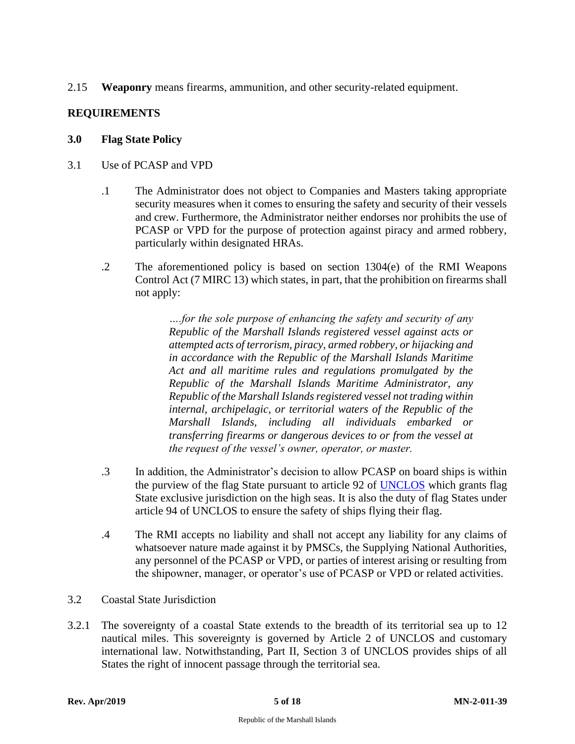2.15 **Weaponry** means firearms, ammunition, and other security-related equipment.

# <span id="page-6-0"></span>**REQUIREMENTS**

#### <span id="page-6-1"></span>**3.0 Flag State Policy**

- <span id="page-6-2"></span>3.1 Use of PCASP and VPD
	- .1 The Administrator does not object to Companies and Masters taking appropriate security measures when it comes to ensuring the safety and security of their vessels and crew. Furthermore, the Administrator neither endorses nor prohibits the use of PCASP or VPD for the purpose of protection against piracy and armed robbery, particularly within designated HRAs.
	- .2 The aforementioned policy is based on section 1304(e) of the RMI Weapons Control Act (7 MIRC 13) which states, in part, that the prohibition on firearms shall not apply:

*….for the sole purpose of enhancing the safety and security of any Republic of the Marshall Islands registered vessel against acts or attempted acts of terrorism, piracy, armed robbery, or hijacking and in accordance with the Republic of the Marshall Islands Maritime Act and all maritime rules and regulations promulgated by the Republic of the Marshall Islands Maritime Administrator, any Republic of the Marshall Islands registered vessel not trading within internal, archipelagic, or territorial waters of the Republic of the Marshall Islands, including all individuals embarked or transferring firearms or dangerous devices to or from the vessel at the request of the vessel's owner, operator, or master.*

- .3 In addition, the Administrator's decision to allow PCASP on board ships is within the purview of the flag State pursuant to article 92 of [UNCLOS](http://www.un.org/depts/los/convention_agreements/texts/unclos/unclos_e.pdf) which grants flag State exclusive jurisdiction on the high seas. It is also the duty of flag States under article 94 of UNCLOS to ensure the safety of ships flying their flag.
- .4 The RMI accepts no liability and shall not accept any liability for any claims of whatsoever nature made against it by PMSCs, the Supplying National Authorities, any personnel of the PCASP or VPD, or parties of interest arising or resulting from the shipowner, manager, or operator's use of PCASP or VPD or related activities.
- <span id="page-6-3"></span>3.2 Coastal State Jurisdiction
- 3.2.1 The sovereignty of a coastal State extends to the breadth of its territorial sea up to 12 nautical miles. This sovereignty is governed by Article 2 of UNCLOS and customary international law. Notwithstanding, Part II, Section 3 of UNCLOS provides ships of all States the right of innocent passage through the territorial sea.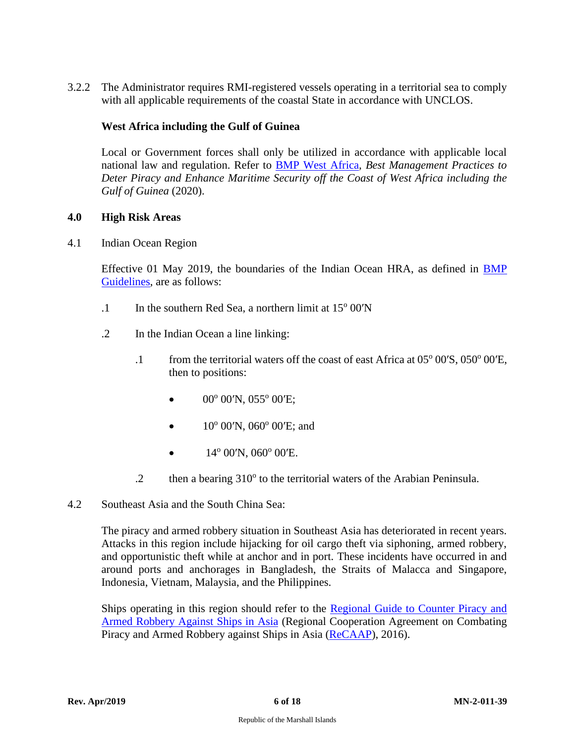3.2.2 The Administrator requires RMI-registered vessels operating in a territorial sea to comply with all applicable requirements of the coastal State in accordance with UNCLOS.

# **West Africa including the Gulf of Guinea**

Local or Government forces shall only be utilized in accordance with applicable local national law and regulation. Refer to [BMP West Africa](http://www.register-iri.com/forms/upload/GoG-Updated_Guidelines.pdf)*, Best Management Practices to Deter Piracy and Enhance Maritime Security off the Coast of West Africa including the Gulf of Guinea* (2020).

#### <span id="page-7-0"></span>**4.0 High Risk Areas**

<span id="page-7-1"></span>4.1 Indian Ocean Region

Effective 01 May 2019, the boundaries of the Indian Ocean HRA, as defined in [BMP](https://www.register-iri.com/wp-content/uploads/BMP5-June-2018-1.pdf)  [Guidelines,](https://www.register-iri.com/wp-content/uploads/BMP5-June-2018-1.pdf) are as follows:

- .1 In the southern Red Sea, a northern limit at  $15^{\circ}$  00'N
- .2 In the Indian Ocean a line linking:
	- .1 from the territorial waters off the coast of east Africa at 05° 00'S, 050° 00'E, then to positions:
		- 00° 00'N, 055° 00'E;
		- $10^{\circ}$  00'N, 060 $^{\circ}$  00'E; and
		- $14^{\circ}$  00'N, 060 $^{\circ}$  00'E.
	- $.2$  then a bearing  $310^{\circ}$  to the territorial waters of the Arabian Peninsula.
- <span id="page-7-2"></span>4.2 Southeast Asia and the South China Sea:

The piracy and armed robbery situation in Southeast Asia has deteriorated in recent years. Attacks in this region include hijacking for oil cargo theft via siphoning, armed robbery, and opportunistic theft while at anchor and in port. These incidents have occurred in and around ports and anchorages in Bangladesh, the Straits of Malacca and Singapore, Indonesia, Vietnam, Malaysia, and the Philippines.

Ships operating in this region should refer to the Regional Guide to Counter Piracy and [Armed Robbery Against Ships in Asia](http://www.recaap.org/AlertsReports/IncidentReports.aspx?Command=Core_Download&EntryId=423) (Regional Cooperation Agreement on Combating Piracy and Armed Robbery against Ships in Asia [\(ReCAAP\)](http://www.recaap.org/), 2016).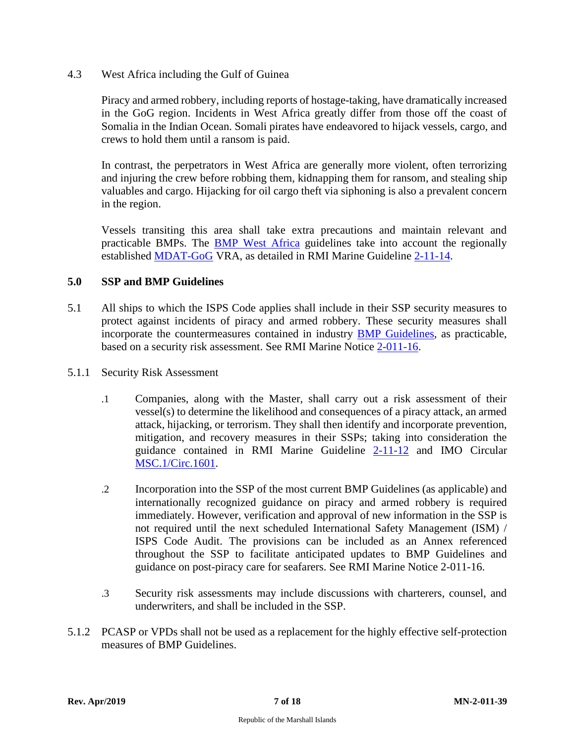<span id="page-8-0"></span>4.3 West Africa including the Gulf of Guinea

Piracy and armed robbery, including reports of hostage-taking, have dramatically increased in the GoG region. Incidents in West Africa greatly differ from those off the coast of Somalia in the Indian Ocean. Somali pirates have endeavored to hijack vessels, cargo, and crews to hold them until a ransom is paid.

In contrast, the perpetrators in West Africa are generally more violent, often terrorizing and injuring the crew before robbing them, kidnapping them for ransom, and stealing ship valuables and cargo. Hijacking for oil cargo theft via siphoning is also a prevalent concern in the region.

Vessels transiting this area shall take extra precautions and maintain relevant and practicable BMPs. The [BMP West Africa](http://www.register-iri.com/forms/upload/GoG-Updated_Guidelines.pdf) guidelines take into account the regionally established [MDAT-GoG](https://shipping.nato.int/nsc/operations/global-maritime-risk/west-africagulf-of-guinea.aspx) VRA, as detailed in RMI Marine Guideline [2-11-14.](http://www.register-iri.com/forms/upload/MG-2-11-14.pdf)

#### <span id="page-8-1"></span>**5.0 SSP and BMP Guidelines**

- 5.1 All ships to which the ISPS Code applies shall include in their SSP security measures to protect against incidents of piracy and armed robbery. These security measures shall incorporate the countermeasures contained in industry [BMP Guidelines,](https://www.maritimeglobalsecurity.org/risksissues/piracy) as practicable, based on a security risk assessment. See RMI Marine Notice [2-011-16.](http://www.register-iri.com/forms/upload/MN-2-011-16.pdf)
- 5.1.1 Security Risk Assessment
	- .1 Companies, along with the Master, shall carry out a risk assessment of their vessel(s) to determine the likelihood and consequences of a piracy attack, an armed attack, hijacking, or terrorism. They shall then identify and incorporate prevention, mitigation, and recovery measures in their SSPs; taking into consideration the guidance contained in RMI Marine Guideline [2-11-12](http://www.register-iri.com/forms/upload/MG-2-11-12.pdf) and IMO Circular [MSC.1/Circ.1601.](https://www.register-iri.com/wp-content/uploads/MSC.1-Circ.1601.pdf)
	- .2 Incorporation into the SSP of the most current BMP Guidelines (as applicable) and internationally recognized guidance on piracy and armed robbery is required immediately. However, verification and approval of new information in the SSP is not required until the next scheduled International Safety Management (ISM) / ISPS Code Audit. The provisions can be included as an Annex referenced throughout the SSP to facilitate anticipated updates to BMP Guidelines and guidance on post-piracy care for seafarers. See RMI Marine Notice 2-011-16.
	- .3 Security risk assessments may include discussions with charterers, counsel, and underwriters, and shall be included in the SSP.
- 5.1.2 PCASP or VPDs shall not be used as a replacement for the highly effective self-protection measures of BMP Guidelines.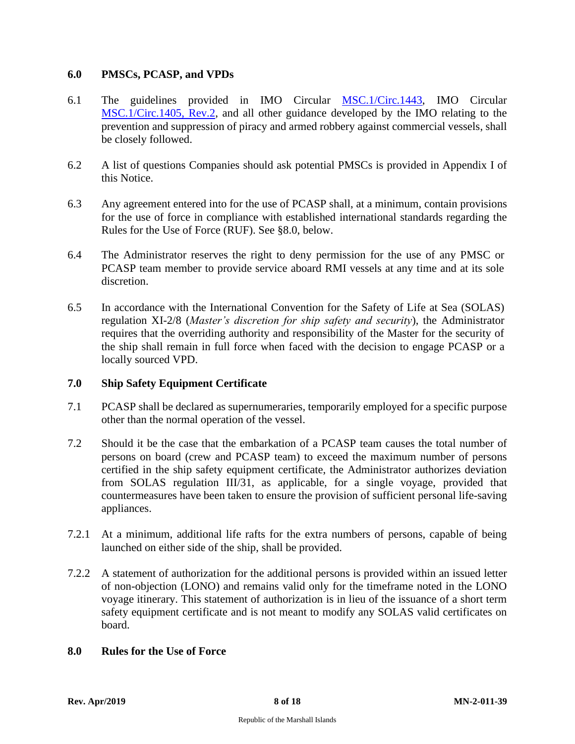#### <span id="page-9-0"></span>**6.0 PMSCs, PCASP, and VPDs**

- 6.1 The guidelines provided in IMO Circular [MSC.1/Circ.1443,](http://www.register-iri.com/forms/upload/MSC.1-Circ.1443.pdf) IMO Circular [MSC.1/Circ.1405, Rev.2,](http://www.register-iri.com/forms/upload/MSC.1-Circ.1405-Rev.2.pdf) and all other guidance developed by the IMO relating to the prevention and suppression of piracy and armed robbery against commercial vessels, shall be closely followed.
- 6.2 A list of questions Companies should ask potential PMSCs is provided in Appendix I of this Notice.
- 6.3 Any agreement entered into for the use of PCASP shall, at a minimum, contain provisions for the use of force in compliance with established international standards regarding the Rules for the Use of Force (RUF). See §8.0, below.
- 6.4 The Administrator reserves the right to deny permission for the use of any PMSC or PCASP team member to provide service aboard RMI vessels at any time and at its sole discretion.
- 6.5 In accordance with the International Convention for the Safety of Life at Sea (SOLAS) regulation XI-2/8 (*Master's discretion for ship safety and security*), the Administrator requires that the overriding authority and responsibility of the Master for the security of the ship shall remain in full force when faced with the decision to engage PCASP or a locally sourced VPD.

### <span id="page-9-1"></span>**7.0 Ship Safety Equipment Certificate**

- 7.1 PCASP shall be declared as supernumeraries, temporarily employed for a specific purpose other than the normal operation of the vessel.
- 7.2 Should it be the case that the embarkation of a PCASP team causes the total number of persons on board (crew and PCASP team) to exceed the maximum number of persons certified in the ship safety equipment certificate, the Administrator authorizes deviation from SOLAS regulation III/31, as applicable, for a single voyage, provided that countermeasures have been taken to ensure the provision of sufficient personal life-saving appliances.
- 7.2.1 At a minimum, additional life rafts for the extra numbers of persons, capable of being launched on either side of the ship, shall be provided.
- 7.2.2 A statement of authorization for the additional persons is provided within an issued letter of non-objection (LONO) and remains valid only for the timeframe noted in the LONO voyage itinerary. This statement of authorization is in lieu of the issuance of a short term safety equipment certificate and is not meant to modify any SOLAS valid certificates on board.

### <span id="page-9-2"></span>**8.0 Rules for the Use of Force**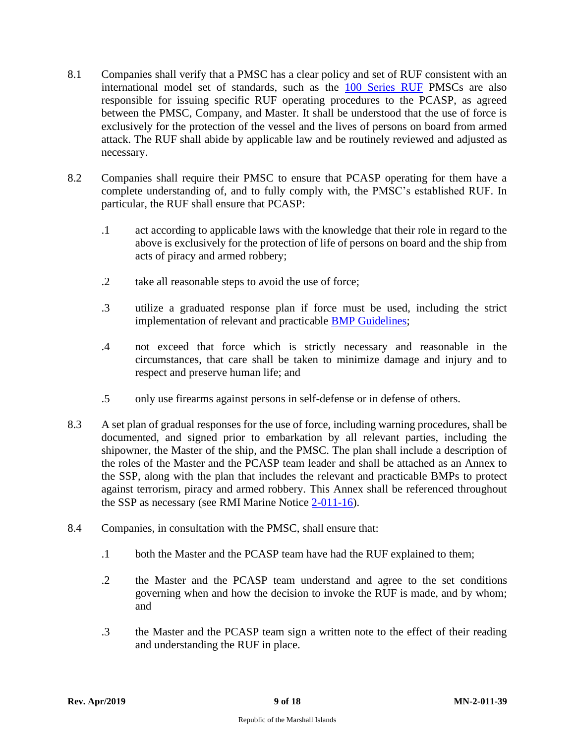- 8.1 Companies shall verify that a PMSC has a clear policy and set of RUF consistent with an international model set of standards, such as the [100 Series RUF](https://www.register-iri.com/wp-content/uploads/Rules-for-the-Use-of-Force-MN-2-011-39.pdf) PMSCs are also responsible for issuing specific RUF operating procedures to the PCASP, as agreed between the PMSC, Company, and Master. It shall be understood that the use of force is exclusively for the protection of the vessel and the lives of persons on board from armed attack. The RUF shall abide by applicable law and be routinely reviewed and adjusted as necessary.
- 8.2 Companies shall require their PMSC to ensure that PCASP operating for them have a complete understanding of, and to fully comply with, the PMSC's established RUF. In particular, the RUF shall ensure that PCASP:
	- .1 act according to applicable laws with the knowledge that their role in regard to the above is exclusively for the protection of life of persons on board and the ship from acts of piracy and armed robbery;
	- .2 take all reasonable steps to avoid the use of force;
	- .3 utilize a graduated response plan if force must be used, including the strict implementation of relevant and practicable BMP [Guidelines;](https://www.register-iri.com/wp-content/uploads/BMP5-June-2018-1.pdf)
	- .4 not exceed that force which is strictly necessary and reasonable in the circumstances, that care shall be taken to minimize damage and injury and to respect and preserve human life; and
	- .5 only use firearms against persons in self-defense or in defense of others.
- 8.3 A set plan of gradual responses for the use of force, including warning procedures, shall be documented, and signed prior to embarkation by all relevant parties, including the shipowner, the Master of the ship, and the PMSC. The plan shall include a description of the roles of the Master and the PCASP team leader and shall be attached as an Annex to the SSP, along with the plan that includes the relevant and practicable BMPs to protect against terrorism, piracy and armed robbery. This Annex shall be referenced throughout the SSP as necessary (see RMI Marine Notice [2-011-16\)](http://www.register-iri.com/forms/upload/MN-2-011-16.pdf).
- 8.4 Companies, in consultation with the PMSC, shall ensure that:
	- .1 both the Master and the PCASP team have had the RUF explained to them;
	- .2 the Master and the PCASP team understand and agree to the set conditions governing when and how the decision to invoke the RUF is made, and by whom; and
	- .3 the Master and the PCASP team sign a written note to the effect of their reading and understanding the RUF in place.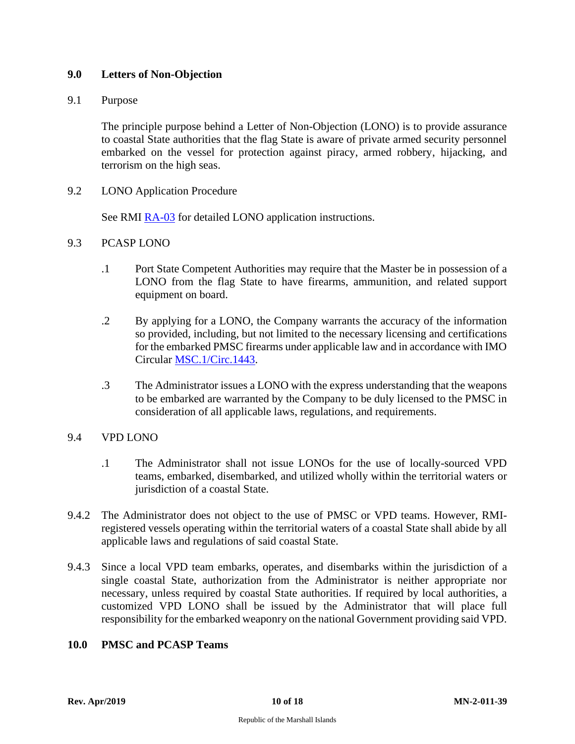# <span id="page-11-0"></span>**9.0 Letters of Non-Objection**

#### <span id="page-11-1"></span>9.1 Purpose

The principle purpose behind a Letter of Non-Objection (LONO) is to provide assurance to coastal State authorities that the flag State is aware of private armed security personnel embarked on the vessel for protection against piracy, armed robbery, hijacking, and terrorism on the high seas.

<span id="page-11-2"></span>9.2 LONO Application Procedure

See RMI [RA-03](http://www.register-iri.com/forms/upload/RA-03.pdf) for detailed LONO application instructions.

#### <span id="page-11-3"></span>9.3 PCASP LONO

- .1 Port State Competent Authorities may require that the Master be in possession of a LONO from the flag State to have firearms, ammunition, and related support equipment on board.
- .2 By applying for a LONO, the Company warrants the accuracy of the information so provided, including, but not limited to the necessary licensing and certifications for the embarked PMSC firearms under applicable law and in accordance with IMO Circular [MSC.1/Circ.1443.](http://www.register-iri.com/forms/upload/MSC.1-Circ.1443.pdf)
- .3 The Administrator issues a LONO with the express understanding that the weapons to be embarked are warranted by the Company to be duly licensed to the PMSC in consideration of all applicable laws, regulations, and requirements.

#### <span id="page-11-4"></span>9.4 VPD LONO

- .1 The Administrator shall not issue LONOs for the use of locally-sourced VPD teams, embarked, disembarked, and utilized wholly within the territorial waters or jurisdiction of a coastal State.
- 9.4.2 The Administrator does not object to the use of PMSC or VPD teams. However, RMIregistered vessels operating within the territorial waters of a coastal State shall abide by all applicable laws and regulations of said coastal State.
- 9.4.3 Since a local VPD team embarks, operates, and disembarks within the jurisdiction of a single coastal State, authorization from the Administrator is neither appropriate nor necessary, unless required by coastal State authorities. If required by local authorities, a customized VPD LONO shall be issued by the Administrator that will place full responsibility for the embarked weaponry on the national Government providing said VPD.

#### <span id="page-11-5"></span>**10.0 PMSC and PCASP Teams**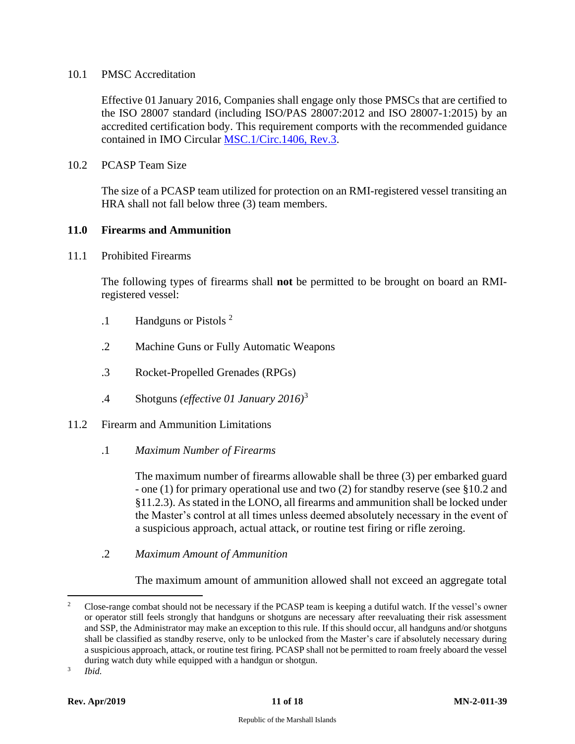#### <span id="page-12-0"></span>10.1 PMSC Accreditation

Effective 01 January 2016, Companies shall engage only those PMSCs that are certified to the ISO 28007 standard (including ISO/PAS 28007:2012 and ISO 28007-1:2015) by an accredited certification body. This requirement comports with the recommended guidance contained in IMO Circular [MSC.1/Circ.1406, Rev.3.](http://www.register-iri.com/forms/upload/MSC.1-Circ.1406-Rev.3.pdf)

<span id="page-12-1"></span>10.2 PCASP Team Size

The size of a PCASP team utilized for protection on an RMI-registered vessel transiting an HRA shall not fall below three (3) team members.

#### <span id="page-12-2"></span>**11.0 Firearms and Ammunition**

<span id="page-12-3"></span>11.1 Prohibited Firearms

The following types of firearms shall **not** be permitted to be brought on board an RMIregistered vessel:

- .1 Handguns or Pistols <sup>2</sup>
- .2 Machine Guns or Fully Automatic Weapons
- .3 Rocket-Propelled Grenades (RPGs)
- .4 Shotguns *(effective 01 January 2016)*<sup>3</sup>
- <span id="page-12-5"></span><span id="page-12-4"></span>11.2 Firearm and Ammunition Limitations
	- .1 *Maximum Number of Firearms*

The maximum number of firearms allowable shall be three (3) per embarked guard - one (1) for primary operational use and two (2) for standby reserve (see §10.2 and §11.2.3). As stated in the LONO, all firearms and ammunition shall be locked under the Master's control at all times unless deemed absolutely necessary in the event of a suspicious approach, actual attack, or routine test firing or rifle zeroing.

<span id="page-12-6"></span>.2 *Maximum Amount of Ammunition*

The maximum amount of ammunition allowed shall not exceed an aggregate total

3 *Ibid.*

<sup>&</sup>lt;sup>2</sup> Close-range combat should not be necessary if the PCASP team is keeping a dutiful watch. If the vessel's owner or operator still feels strongly that handguns or shotguns are necessary after reevaluating their risk assessment and SSP, the Administrator may make an exception to this rule. If this should occur, all handguns and/or shotguns shall be classified as standby reserve, only to be unlocked from the Master's care if absolutely necessary during a suspicious approach, attack, or routine test firing. PCASP shall not be permitted to roam freely aboard the vessel during watch duty while equipped with a handgun or shotgun.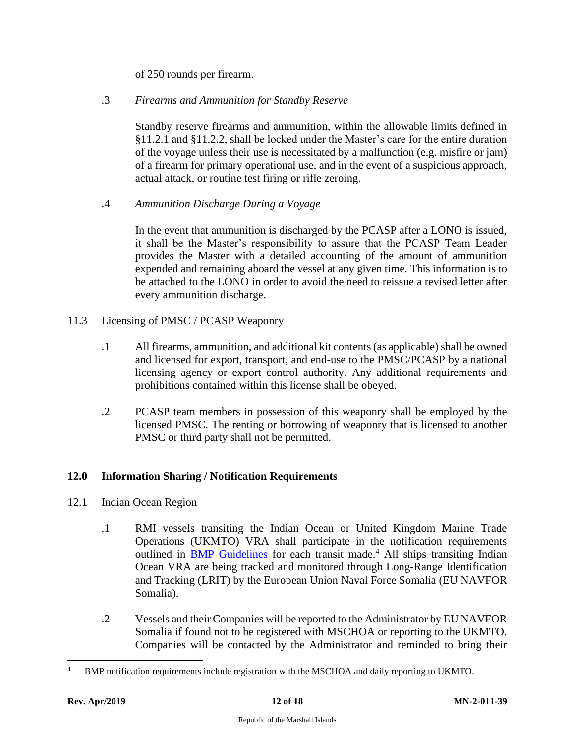of 250 rounds per firearm.

# <span id="page-13-0"></span>.3 *Firearms and Ammunition for Standby Reserve*

Standby reserve firearms and ammunition, within the allowable limits defined in §11.2.1 and §11.2.2, shall be locked under the Master's care for the entire duration of the voyage unless their use is necessitated by a malfunction (e.g. misfire or jam) of a firearm for primary operational use, and in the event of a suspicious approach, actual attack, or routine test firing or rifle zeroing.

<span id="page-13-1"></span>.4 *Ammunition Discharge During a Voyage*

In the event that ammunition is discharged by the PCASP after a LONO is issued, it shall be the Master's responsibility to assure that the PCASP Team Leader provides the Master with a detailed accounting of the amount of ammunition expended and remaining aboard the vessel at any given time. This information is to be attached to the LONO in order to avoid the need to reissue a revised letter after every ammunition discharge.

# <span id="page-13-2"></span>11.3 Licensing of PMSC / PCASP Weaponry

- .1 All firearms, ammunition, and additional kit contents (as applicable) shall be owned and licensed for export, transport, and end-use to the PMSC/PCASP by a national licensing agency or export control authority. Any additional requirements and prohibitions contained within this license shall be obeyed.
- .2 PCASP team members in possession of this weaponry shall be employed by the licensed PMSC. The renting or borrowing of weaponry that is licensed to another PMSC or third party shall not be permitted.

# <span id="page-13-3"></span>**12.0 Information Sharing / Notification Requirements**

- <span id="page-13-4"></span>12.1 Indian Ocean Region
	- .1 RMI vessels transiting the Indian Ocean or United Kingdom Marine Trade Operations (UKMTO) VRA shall participate in the notification requirements outlined in **BMP** [Guidelines](https://www.maritimeglobalsecurity.org/risksissues/piracy/) for each transit made.<sup>4</sup> All ships transiting Indian Ocean VRA are being tracked and monitored through Long-Range Identification and Tracking (LRIT) by the European Union Naval Force Somalia (EU NAVFOR Somalia).
	- .2 Vessels and their Companies will be reported to the Administrator by EU NAVFOR Somalia if found not to be registered with MSCHOA or reporting to the UKMTO. Companies will be contacted by the Administrator and reminded to bring their

<sup>4</sup> BMP notification requirements include registration with the MSCHOA and daily reporting to UKMTO.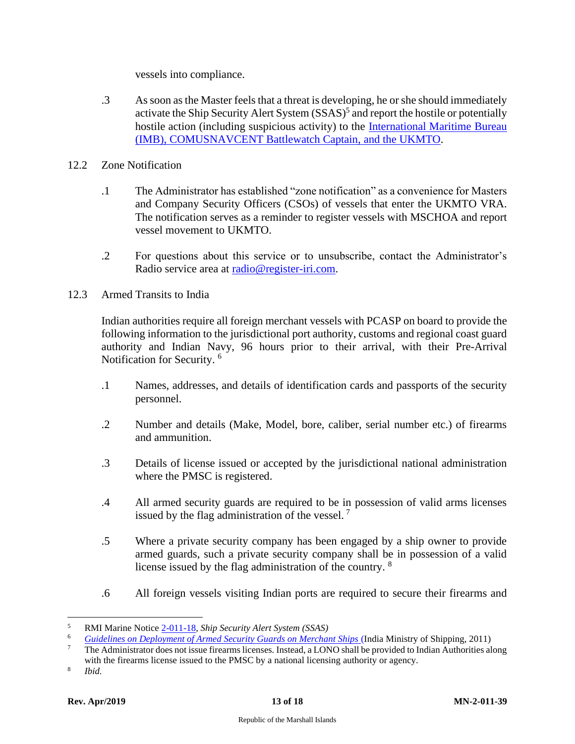vessels into compliance.

- .3 As soon as the Master feels that a threat is developing, he or she should immediately activate the Ship Security Alert System (SSAS) 5 and report the hostile or potentially hostile action (including suspicious activity) to the [International Maritime Bureau](https://www.register-iri.com/wp-content/uploads/Important-Contacts-MN-2-011-39.pdf)  [\(IMB\), COMUSNAVCENT Battlewatch Captain,](https://www.register-iri.com/wp-content/uploads/Important-Contacts-MN-2-011-39.pdf) and the UKMTO.
- <span id="page-14-0"></span>12.2 Zone Notification
	- .1 The Administrator has established "zone notification" as a convenience for Masters and Company Security Officers (CSOs) of vessels that enter the UKMTO VRA. The notification serves as a reminder to register vessels with MSCHOA and report vessel movement to UKMTO.
	- .2 For questions about this service or to unsubscribe, contact the Administrator's Radio service area at [radio@register-iri.com.](mailto:radio@register-iri.com)
- <span id="page-14-1"></span>12.3 Armed Transits to India

Indian authorities require all foreign merchant vessels with PCASP on board to provide the following information to the jurisdictional port authority, customs and regional coast guard authority and Indian Navy, 96 hours prior to their arrival, with their Pre-Arrival Notification for Security.<sup>6</sup>

- .1 Names, addresses, and details of identification cards and passports of the security personnel.
- .2 Number and details (Make, Model, bore, caliber, serial number etc.) of firearms and ammunition.
- .3 Details of license issued or accepted by the jurisdictional national administration where the PMSC is registered.
- .4 All armed security guards are required to be in possession of valid arms licenses issued by the flag administration of the vessel.  $<sup>7</sup>$ </sup>
- .5 Where a private security company has been engaged by a ship owner to provide armed guards, such a private security company shall be in possession of a valid license issued by the flag administration of the country. <sup>8</sup>
- .6 All foreign vessels visiting Indian ports are required to secure their firearms and

<sup>5</sup> RMI Marine Notice [2-011-18,](http://www.register-iri.com/forms/upload/MN-2-011-18.pdf) *Ship Security Alert System (SSAS)*

<sup>&</sup>lt;sup>6</sup> *[Guidelines on Deployment of Armed Security Guards on Merchant Ships](https://www.register-iri.com/wp-content/uploads/IMS-Security-Notification-MN-2-011-39.pdf)* (India Ministry of Shipping, 2011)<br><sup>7</sup> The Administrator does not issue firecame licenses, Instead, a LONO shall be provided to Indian Authorities a

<sup>7</sup> The Administrator does not issue firearms licenses. Instead, a LONO shall be provided to Indian Authorities along with the firearms license issued to the PMSC by a national licensing authority or agency.

<sup>8</sup> *Ibid.*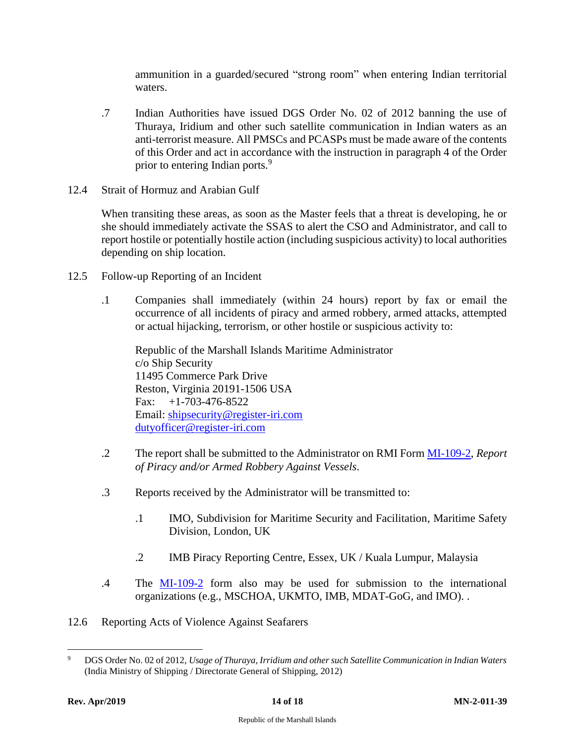ammunition in a guarded/secured "strong room" when entering Indian territorial waters.

- .7 Indian Authorities have issued DGS Order No. 02 of 2012 banning the use of Thuraya, Iridium and other such satellite communication in Indian waters as an anti-terrorist measure. All PMSCs and PCASPs must be made aware of the contents of this Order and act in accordance with the instruction in paragraph 4 of the Order prior to entering Indian ports.<sup>9</sup>
- <span id="page-15-0"></span>12.4 Strait of Hormuz and Arabian Gulf

When transiting these areas, as soon as the Master feels that a threat is developing, he or she should immediately activate the SSAS to alert the CSO and Administrator, and call to report hostile or potentially hostile action (including suspicious activity) to local authorities depending on ship location.

- <span id="page-15-1"></span>12.5 Follow-up Reporting of an Incident
	- .1 Companies shall immediately (within 24 hours) report by fax or email the occurrence of all incidents of piracy and armed robbery, armed attacks, attempted or actual hijacking, terrorism, or other hostile or suspicious activity to:

Republic of the Marshall Islands Maritime Administrator c/o Ship Security 11495 Commerce Park Drive Reston, Virginia 20191-1506 USA Fax:  $+1-703-476-8522$ Email: [shipsecurity@register-iri.com](mailto:shipsecurity@register-iri.com) [dutyofficer@register-iri.com](mailto:dutyofficer@register-iri.com)

- .2 The report shall be submitted to the Administrator on RMI Form [MI-109-2,](https://www.register-iri.com/wp-content/uploads/MI-109-2-Report-of-Acts-of-Piracy-Armed-Robbery-against-Ships.pdf) *Report of Piracy and/or Armed Robbery Against Vessels*.
- .3 Reports received by the Administrator will be transmitted to:
	- .1 IMO, Subdivision for Maritime Security and Facilitation, Maritime Safety Division, London, UK
	- .2 IMB Piracy Reporting Centre, Essex, UK / Kuala Lumpur, Malaysia
- .4 The [MI-109-2](https://www.register-iri.com/wp-content/uploads/MI-109-2-Report-of-Acts-of-Piracy-Armed-Robbery-against-Ships.pdf) form also may be used for submission to the international organizations (e.g., MSCHOA, UKMTO, IMB, MDAT-GoG, and IMO). .
- <span id="page-15-2"></span>12.6 Reporting Acts of Violence Against Seafarers

<sup>9</sup> DGS Order No. 02 of 2012, *Usage of Thuraya, Irridium and other such Satellite Communication in Indian Waters*  (India Ministry of Shipping / Directorate General of Shipping, 2012)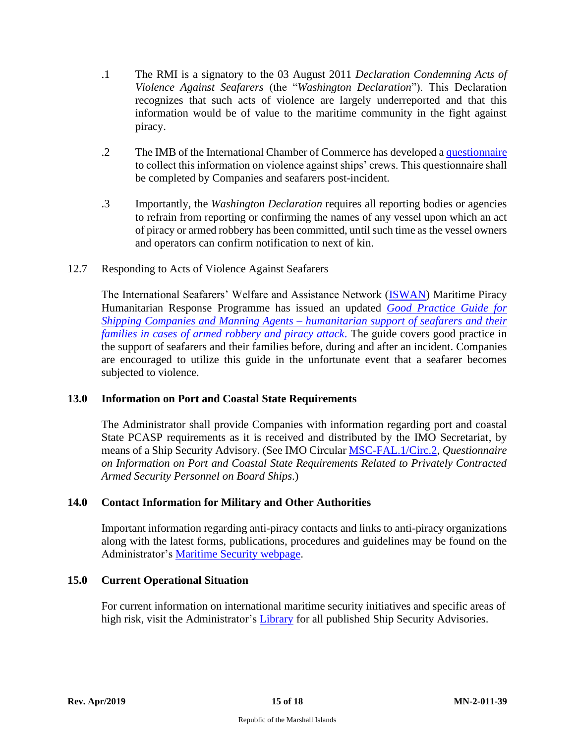- .1 The RMI is a signatory to the 03 August 2011 *Declaration Condemning Acts of Violence Against Seafarers* (the "*Washington Declaration*"). This Declaration recognizes that such acts of violence are largely underreported and that this information would be of value to the maritime community in the fight against piracy.
- .2 The IMB of the International Chamber of Commerce has developed a [questionnaire](https://www.register-iri.com/imb_seafarer_survey_form_b-mn-2-011-39/) to collect this information on violence against ships' crews. This questionnaire shall be completed by Companies and seafarers post-incident.
- .3 Importantly, the *Washington Declaration* requires all reporting bodies or agencies to refrain from reporting or confirming the names of any vessel upon which an act of piracy or armed robbery has been committed, until such time as the vessel owners and operators can confirm notification to next of kin.
- <span id="page-16-0"></span>12.7 Responding to Acts of Violence Against Seafarers

The International Seafarers' Welfare and Assistance Network [\(ISWAN\)](http://seafarerswelfare.org/) Maritime Piracy Humanitarian Response Programme has issued an updated *[Good Practice Guide for](https://www.seafarerswelfare.org/assets/documents/resources/Philippines-Good-Practice-Guide.pdf)  Shipping Companies and Manning Agents – [humanitarian support of seafarers and their](https://www.seafarerswelfare.org/assets/documents/resources/Philippines-Good-Practice-Guide.pdf)  [families in cases of armed robbery and piracy attack](https://www.seafarerswelfare.org/assets/documents/resources/Philippines-Good-Practice-Guide.pdf)*. The guide covers good practice in the support of seafarers and their families before, during and after an incident. Companies are encouraged to utilize this guide in the unfortunate event that a seafarer becomes subjected to violence.

#### <span id="page-16-1"></span>**13.0 Information on Port and Coastal State Requirements**

The Administrator shall provide Companies with information regarding port and coastal State PCASP requirements as it is received and distributed by the IMO Secretariat, by means of a Ship Security Advisory. (See IMO Circular [MSC-FAL.1/Circ.2,](http://www.register-iri.com/forms/upload/MSC-FAL.1-Circ.2.pdf) *Questionnaire on Information on Port and Coastal State Requirements Related to Privately Contracted Armed Security Personnel on Board Ships*.)

#### <span id="page-16-2"></span>**14.0 Contact Information for [Military and Other Authorities](http://www.register-iri.com/forms/upload/Important_Contacts.pdf)**

Important information regarding anti-piracy contacts and links to anti-piracy organizations along with the latest forms, publications, procedures and guidelines may be found on the Administrator's [Maritime Security webpage.](https://www.register-iri.com/maritime/maritime-security/)

#### <span id="page-16-3"></span>**15.0 Current Operational Situation**

For current information on international maritime security initiatives and specific areas of high risk, visit the Administrator's [Library](https://www.register-iri.com/library/) for all published Ship Security Advisories.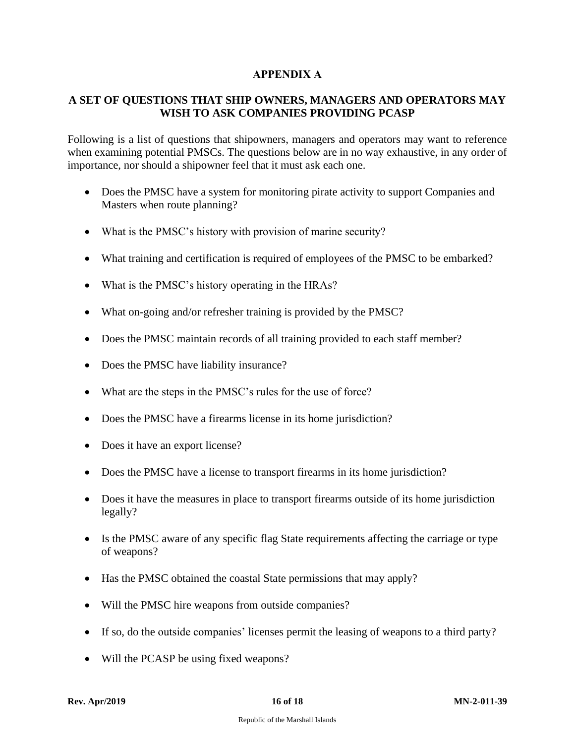# **APPENDIX A**

# <span id="page-17-0"></span>**A SET OF QUESTIONS THAT SHIP OWNERS, MANAGERS AND OPERATORS MAY WISH TO ASK COMPANIES PROVIDING PCASP**

Following is a list of questions that shipowners, managers and operators may want to reference when examining potential PMSCs. The questions below are in no way exhaustive, in any order of importance, nor should a shipowner feel that it must ask each one.

- Does the PMSC have a system for monitoring pirate activity to support Companies and Masters when route planning?
- What is the PMSC's history with provision of marine security?
- What training and certification is required of employees of the PMSC to be embarked?
- What is the PMSC's history operating in the HRAs?
- What on-going and/or refresher training is provided by the PMSC?
- Does the PMSC maintain records of all training provided to each staff member?
- Does the PMSC have liability insurance?
- What are the steps in the PMSC's rules for the use of force?
- Does the PMSC have a firearms license in its home jurisdiction?
- Does it have an export license?
- Does the PMSC have a license to transport firearms in its home jurisdiction?
- Does it have the measures in place to transport firearms outside of its home jurisdiction legally?
- Is the PMSC aware of any specific flag State requirements affecting the carriage or type of weapons?
- Has the PMSC obtained the coastal State permissions that may apply?
- Will the PMSC hire weapons from outside companies?
- If so, do the outside companies' licenses permit the leasing of weapons to a third party?
- Will the PCASP be using fixed weapons?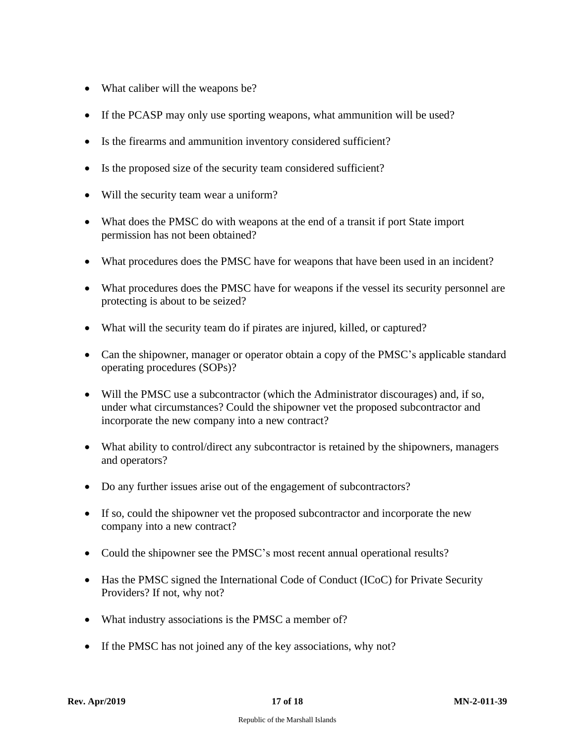- What caliber will the weapons be?
- If the PCASP may only use sporting weapons, what ammunition will be used?
- Is the firearms and ammunition inventory considered sufficient?
- Is the proposed size of the security team considered sufficient?
- Will the security team wear a uniform?
- What does the PMSC do with weapons at the end of a transit if port State import permission has not been obtained?
- What procedures does the PMSC have for weapons that have been used in an incident?
- What procedures does the PMSC have for weapons if the vessel its security personnel are protecting is about to be seized?
- What will the security team do if pirates are injured, killed, or captured?
- Can the shipowner, manager or operator obtain a copy of the PMSC's applicable standard operating procedures (SOPs)?
- Will the PMSC use a subcontractor (which the Administrator discourages) and, if so, under what circumstances? Could the shipowner vet the proposed subcontractor and incorporate the new company into a new contract?
- What ability to control/direct any subcontractor is retained by the shipowners, managers and operators?
- Do any further issues arise out of the engagement of subcontractors?
- If so, could the shipowner vet the proposed subcontractor and incorporate the new company into a new contract?
- Could the shipowner see the PMSC's most recent annual operational results?
- Has the PMSC signed the International Code of Conduct (ICoC) for Private Security Providers? If not, why not?
- What industry associations is the PMSC a member of?
- If the PMSC has not joined any of the key associations, why not?